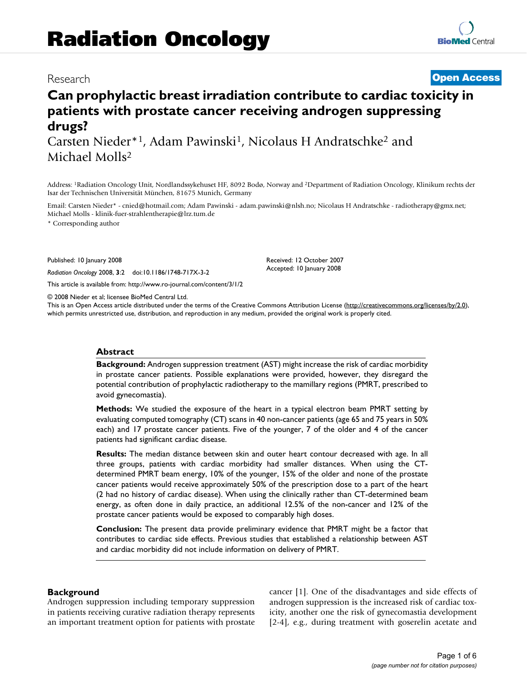## Research **[Open Access](http://www.biomedcentral.com/info/about/charter/)**

# **Can prophylactic breast irradiation contribute to cardiac toxicity in patients with prostate cancer receiving androgen suppressing drugs?**

Carsten Nieder\*1, Adam Pawinski<sup>1</sup>, Nicolaus H Andratschke<sup>2</sup> and Michael Molls2

Address: 1Radiation Oncology Unit, Nordlandssykehuset HF, 8092 Bodø, Norway and 2Department of Radiation Oncology, Klinikum rechts der Isar der Technischen Universität München, 81675 Munich, Germany

Email: Carsten Nieder\* - cnied@hotmail.com; Adam Pawinski - adam.pawinski@nlsh.no; Nicolaus H Andratschke - radiotherapy@gmx.net; Michael Molls - klinik-fuer-strahlentherapie@lrz.tum.de

\* Corresponding author

Published: 10 January 2008

*Radiation Oncology* 2008, **3**:2 doi:10.1186/1748-717X-3-2

[This article is available from: http://www.ro-journal.com/content/3/1/2](http://www.ro-journal.com/content/3/1/2)

© 2008 Nieder et al; licensee BioMed Central Ltd.

This is an Open Access article distributed under the terms of the Creative Commons Attribution License [\(http://creativecommons.org/licenses/by/2.0\)](http://creativecommons.org/licenses/by/2.0), which permits unrestricted use, distribution, and reproduction in any medium, provided the original work is properly cited.

Received: 12 October 2007 Accepted: 10 January 2008

#### **Abstract**

**Background:** Androgen suppression treatment (AST) might increase the risk of cardiac morbidity in prostate cancer patients. Possible explanations were provided, however, they disregard the potential contribution of prophylactic radiotherapy to the mamillary regions (PMRT, prescribed to avoid gynecomastia).

**Methods:** We studied the exposure of the heart in a typical electron beam PMRT setting by evaluating computed tomography (CT) scans in 40 non-cancer patients (age 65 and 75 years in 50% each) and 17 prostate cancer patients. Five of the younger, 7 of the older and 4 of the cancer patients had significant cardiac disease.

**Results:** The median distance between skin and outer heart contour decreased with age. In all three groups, patients with cardiac morbidity had smaller distances. When using the CTdetermined PMRT beam energy, 10% of the younger, 15% of the older and none of the prostate cancer patients would receive approximately 50% of the prescription dose to a part of the heart (2 had no history of cardiac disease). When using the clinically rather than CT-determined beam energy, as often done in daily practice, an additional 12.5% of the non-cancer and 12% of the prostate cancer patients would be exposed to comparably high doses.

**Conclusion:** The present data provide preliminary evidence that PMRT might be a factor that contributes to cardiac side effects. Previous studies that established a relationship between AST and cardiac morbidity did not include information on delivery of PMRT.

#### **Background**

Androgen suppression including temporary suppression in patients receiving curative radiation therapy represents an important treatment option for patients with prostate cancer [1]. One of the disadvantages and side effects of androgen suppression is the increased risk of cardiac toxicity, another one the risk of gynecomastia development [2-4], e.g., during treatment with goserelin acetate and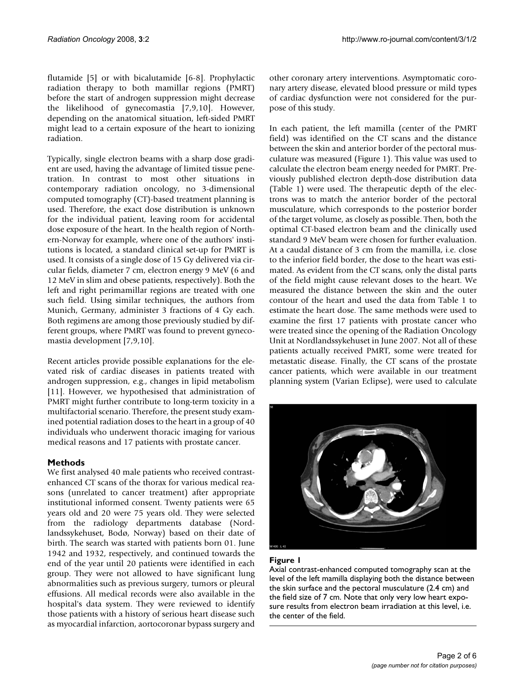flutamide [5] or with bicalutamide [6-8]. Prophylactic radiation therapy to both mamillar regions (PMRT) before the start of androgen suppression might decrease the likelihood of gynecomastia [7,9,10]. However, depending on the anatomical situation, left-sided PMRT might lead to a certain exposure of the heart to ionizing radiation.

Typically, single electron beams with a sharp dose gradient are used, having the advantage of limited tissue penetration. In contrast to most other situations in contemporary radiation oncology, no 3-dimensional computed tomography (CT)-based treatment planning is used. Therefore, the exact dose distribution is unknown for the individual patient, leaving room for accidental dose exposure of the heart. In the health region of Northern-Norway for example, where one of the authors' institutions is located, a standard clinical set-up for PMRT is used. It consists of a single dose of 15 Gy delivered via circular fields, diameter 7 cm, electron energy 9 MeV (6 and 12 MeV in slim and obese patients, respectively). Both the left and right perimamillar regions are treated with one such field. Using similar techniques, the authors from Munich, Germany, administer 3 fractions of 4 Gy each. Both regimens are among those previously studied by different groups, where PMRT was found to prevent gynecomastia development [7,9,10].

Recent articles provide possible explanations for the elevated risk of cardiac diseases in patients treated with androgen suppression, e.g., changes in lipid metabolism [11]. However, we hypothesised that administration of PMRT might further contribute to long-term toxicity in a multifactorial scenario. Therefore, the present study examined potential radiation doses to the heart in a group of 40 individuals who underwent thoracic imaging for various medical reasons and 17 patients with prostate cancer.

### **Methods**

We first analysed 40 male patients who received contrastenhanced CT scans of the thorax for various medical reasons (unrelated to cancer treatment) after appropriate institutional informed consent. Twenty patients were 65 years old and 20 were 75 years old. They were selected from the radiology departments database (Nordlandssykehuset, Bodø, Norway) based on their date of birth. The search was started with patients born 01. June 1942 and 1932, respectively, and continued towards the end of the year until 20 patients were identified in each group. They were not allowed to have significant lung abnormalities such as previous surgery, tumors or pleural effusions. All medical records were also available in the hospital's data system. They were reviewed to identify those patients with a history of serious heart disease such as myocardial infarction, aortocoronar bypass surgery and

other coronary artery interventions. Asymptomatic coronary artery disease, elevated blood pressure or mild types of cardiac dysfunction were not considered for the purpose of this study.

In each patient, the left mamilla (center of the PMRT field) was identified on the CT scans and the distance between the skin and anterior border of the pectoral musculature was measured (Figure 1). This value was used to calculate the electron beam energy needed for PMRT. Previously published electron depth-dose distribution data (Table 1) were used. The therapeutic depth of the electrons was to match the anterior border of the pectoral musculature, which corresponds to the posterior border of the target volume, as closely as possible. Then, both the optimal CT-based electron beam and the clinically used standard 9 MeV beam were chosen for further evaluation. At a caudal distance of 3 cm from the mamilla, i.e. close to the inferior field border, the dose to the heart was estimated. As evident from the CT scans, only the distal parts of the field might cause relevant doses to the heart. We measured the distance between the skin and the outer contour of the heart and used the data from Table 1 to estimate the heart dose. The same methods were used to examine the first 17 patients with prostate cancer who were treated since the opening of the Radiation Oncology Unit at Nordlandssykehuset in June 2007. Not all of these patients actually received PMRT, some were treated for metastatic disease. Finally, the CT scans of the prostate cancer patients, which were available in our treatment planning system (Varian Eclipse), were used to calculate



#### Figure I

Axial contrast-enhanced computed tomography scan at the level of the left mamilla displaying both the distance between the skin surface and the pectoral musculature (2.4 cm) and the field size of 7 cm. Note that only very low heart exposure results from electron beam irradiation at this level, i.e. the center of the field.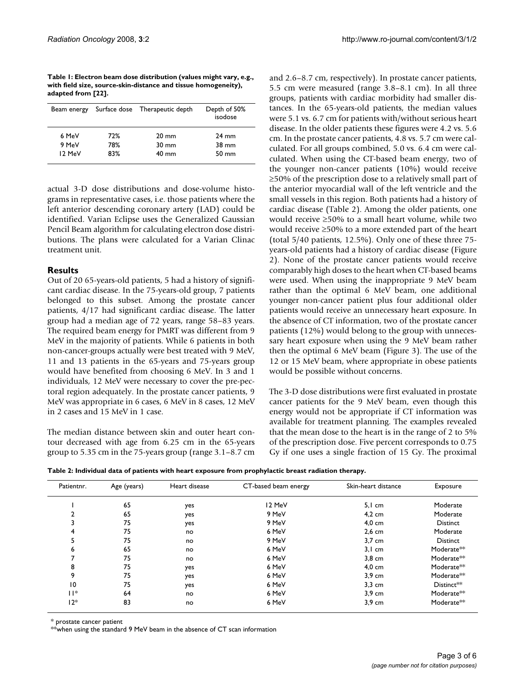**Table 1: Electron beam dose distribution (values might vary, e.g., with field size, source-skin-distance and tissue homogeneity), adapted from [22].**

| Beam energy |     | Surface dose Therapeutic depth | Depth of 50%<br>isodose |
|-------------|-----|--------------------------------|-------------------------|
| 6 MeV       | 72% | $20 \text{ mm}$                | $24 \text{ mm}$         |
| 9 MeV       | 78% | $30 \text{ mm}$                | $38 \text{ mm}$         |
| 12 MeV      | 83% | $40 \text{ mm}$                | $50 \text{ mm}$         |

actual 3-D dose distributions and dose-volume histograms in representative cases, i.e. those patients where the left anterior descending coronary artery (LAD) could be identified. Varian Eclipse uses the Generalized Gaussian Pencil Beam algorithm for calculating electron dose distributions. The plans were calculated for a Varian Clinac treatment unit.

#### **Results**

Out of 20 65-years-old patients, 5 had a history of significant cardiac disease. In the 75-years-old group, 7 patients belonged to this subset. Among the prostate cancer patients, 4/17 had significant cardiac disease. The latter group had a median age of 72 years, range 58–83 years. The required beam energy for PMRT was different from 9 MeV in the majority of patients. While 6 patients in both non-cancer-groups actually were best treated with 9 MeV, 11 and 13 patients in the 65-years and 75-years group would have benefited from choosing 6 MeV. In 3 and 1 individuals, 12 MeV were necessary to cover the pre-pectoral region adequately. In the prostate cancer patients, 9 MeV was appropriate in 6 cases, 6 MeV in 8 cases, 12 MeV in 2 cases and 15 MeV in 1 case.

The median distance between skin and outer heart contour decreased with age from 6.25 cm in the 65-years group to 5.35 cm in the 75-years group (range 3.1–8.7 cm and 2.6–8.7 cm, respectively). In prostate cancer patients, 5.5 cm were measured (range 3.8–8.1 cm). In all three groups, patients with cardiac morbidity had smaller distances. In the 65-years-old patients, the median values were 5.1 vs. 6.7 cm for patients with/without serious heart disease. In the older patients these figures were 4.2 vs. 5.6 cm. In the prostate cancer patients, 4.8 vs. 5.7 cm were calculated. For all groups combined, 5.0 vs. 6.4 cm were calculated. When using the CT-based beam energy, two of the younger non-cancer patients (10%) would receive ≥50% of the prescription dose to a relatively small part of the anterior myocardial wall of the left ventricle and the small vessels in this region. Both patients had a history of cardiac disease (Table 2). Among the older patients, one would receive ≥50% to a small heart volume, while two would receive ≥50% to a more extended part of the heart (total 5/40 patients, 12.5%). Only one of these three 75 years-old patients had a history of cardiac disease (Figure 2). None of the prostate cancer patients would receive comparably high doses to the heart when CT-based beams were used. When using the inappropriate 9 MeV beam rather than the optimal 6 MeV beam, one additional younger non-cancer patient plus four additional older patients would receive an unnecessary heart exposure. In the absence of CT information, two of the prostate cancer patients (12%) would belong to the group with unnecessary heart exposure when using the 9 MeV beam rather then the optimal 6 MeV beam (Figure 3). The use of the 12 or 15 MeV beam, where appropriate in obese patients would be possible without concerns.

The 3-D dose distributions were first evaluated in prostate cancer patients for the 9 MeV beam, even though this energy would not be appropriate if CT information was available for treatment planning. The examples revealed that the mean dose to the heart is in the range of 2 to 5% of the prescription dose. Five percent corresponds to 0.75 Gy if one uses a single fraction of 15 Gy. The proximal

|  |  | Table 2: Individual data of patients with heart exposure from prophylactic breast radiation therapy. |  |
|--|--|------------------------------------------------------------------------------------------------------|--|
|--|--|------------------------------------------------------------------------------------------------------|--|

| Patientnr. | Age (years) | Heart disease | CT-based beam energy | Skin-heart distance | Exposure               |
|------------|-------------|---------------|----------------------|---------------------|------------------------|
|            | 65          | yes           | 12 MeV               | $5.1 \text{ cm}$    | Moderate               |
|            | 65          | yes           | 9 MeV                | $4.2 \text{ cm}$    | Moderate               |
|            | 75          | yes           | 9 MeV                | $4,0$ cm            | <b>Distinct</b>        |
| 4          | 75          | no            | 6 MeV                | $2,6$ cm            | Moderate               |
| 5          | 75          | no            | 9 MeV                | $3,7$ cm            | Distinct               |
| 6          | 65          | no            | 6 MeV                | $3.1 \text{ cm}$    | Moderate <sup>**</sup> |
|            | 75          | no            | 6 MeV                | 3,8 cm              | Moderate <sup>**</sup> |
| 8          | 75          | yes           | 6 MeV                | $4,0$ cm            | Moderate <sup>**</sup> |
| 9          | 75          | yes           | 6 MeV                | $3,9$ cm            | Moderate**             |
| 10         | 75          | yes           | 6 MeV                | $3,3$ cm            | $D$ istinct $**$       |
| $  $ *     | 64          | no            | 6 MeV                | $3.9 \text{ cm}$    | Moderate <sup>**</sup> |
| $12*$      | 83          | no            | 6 MeV                | $3,9$ cm            | Moderate <sup>**</sup> |

\* prostate cancer patient

\*\*when using the standard 9 MeV beam in the absence of CT scan information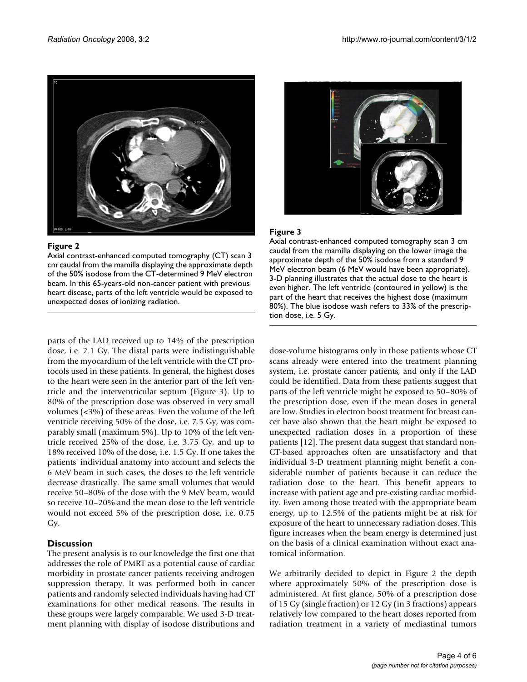

#### Figure 2

Axial contrast-enhanced computed tomography (CT) scan 3 cm caudal from the mamilla displaying the approximate depth of the 50% isodose from the CT-determined 9 MeV electron beam. In this 65-years-old non-cancer patient with previous heart disease, parts of the left ventricle would be exposed to unexpected doses of ionizing radiation.

parts of the LAD received up to 14% of the prescription dose, i.e. 2.1 Gy. The distal parts were indistinguishable from the myocardium of the left ventricle with the CT protocols used in these patients. In general, the highest doses to the heart were seen in the anterior part of the left ventricle and the interventricular septum (Figure 3). Up to 80% of the prescription dose was observed in very small volumes (<3%) of these areas. Even the volume of the left ventricle receiving 50% of the dose, i.e. 7.5 Gy, was comparably small (maximum 5%). Up to 10% of the left ventricle received 25% of the dose, i.e. 3.75 Gy, and up to 18% received 10% of the dose, i.e. 1.5 Gy. If one takes the patients' individual anatomy into account and selects the 6 MeV beam in such cases, the doses to the left ventricle decrease drastically. The same small volumes that would receive 50–80% of the dose with the 9 MeV beam, would so receive 10–20% and the mean dose to the left ventricle would not exceed 5% of the prescription dose, i.e. 0.75 Gy.

#### **Discussion**

The present analysis is to our knowledge the first one that addresses the role of PMRT as a potential cause of cardiac morbidity in prostate cancer patients receiving androgen suppression therapy. It was performed both in cancer patients and randomly selected individuals having had CT examinations for other medical reasons. The results in these groups were largely comparable. We used 3-D treatment planning with display of isodose distributions and



#### Figure 3

Axial contrast-enhanced computed tomography scan 3 cm caudal from the mamilla displaying on the lower image the approximate depth of the 50% isodose from a standard 9 MeV electron beam (6 MeV would have been appropriate). 3-D planning illustrates that the actual dose to the heart is even higher. The left ventricle (contoured in yellow) is the part of the heart that receives the highest dose (maximum 80%). The blue isodose wash refers to 33% of the prescription dose, i.e. 5 Gy.

dose-volume histograms only in those patients whose CT scans already were entered into the treatment planning system, i.e. prostate cancer patients, and only if the LAD could be identified. Data from these patients suggest that parts of the left ventricle might be exposed to 50–80% of the prescription dose, even if the mean doses in general are low. Studies in electron boost treatment for breast cancer have also shown that the heart might be exposed to unexpected radiation doses in a proportion of these patients [12]. The present data suggest that standard non-CT-based approaches often are unsatisfactory and that individual 3-D treatment planning might benefit a considerable number of patients because it can reduce the radiation dose to the heart. This benefit appears to increase with patient age and pre-existing cardiac morbidity. Even among those treated with the appropriate beam energy, up to 12.5% of the patients might be at risk for exposure of the heart to unnecessary radiation doses. This figure increases when the beam energy is determined just on the basis of a clinical examination without exact anatomical information.

We arbitrarily decided to depict in Figure 2 the depth where approximately 50% of the prescription dose is administered. At first glance, 50% of a prescription dose of 15 Gy (single fraction) or 12 Gy (in 3 fractions) appears relatively low compared to the heart doses reported from radiation treatment in a variety of mediastinal tumors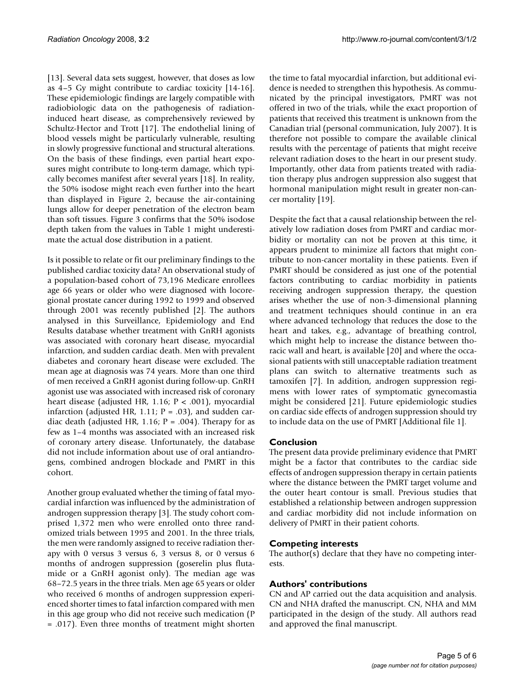[13]. Several data sets suggest, however, that doses as low as 4–5 Gy might contribute to cardiac toxicity [14-16]. These epidemiologic findings are largely compatible with radiobiologic data on the pathogenesis of radiationinduced heart disease, as comprehensively reviewed by Schultz-Hector and Trott [17]. The endothelial lining of blood vessels might be particularly vulnerable, resulting in slowly progressive functional and structural alterations. On the basis of these findings, even partial heart exposures might contribute to long-term damage, which typically becomes manifest after several years [18]. In reality, the 50% isodose might reach even further into the heart than displayed in Figure 2, because the air-containing lungs allow for deeper penetration of the electron beam than soft tissues. Figure 3 confirms that the 50% isodose depth taken from the values in Table 1 might underestimate the actual dose distribution in a patient.

Is it possible to relate or fit our preliminary findings to the published cardiac toxicity data? An observational study of a population-based cohort of 73,196 Medicare enrollees age 66 years or older who were diagnosed with locoregional prostate cancer during 1992 to 1999 and observed through 2001 was recently published [2]. The authors analysed in this Surveillance, Epidemiology and End Results database whether treatment with GnRH agonists was associated with coronary heart disease, myocardial infarction, and sudden cardiac death. Men with prevalent diabetes and coronary heart disease were excluded. The mean age at diagnosis was 74 years. More than one third of men received a GnRH agonist during follow-up. GnRH agonist use was associated with increased risk of coronary heart disease (adjusted HR, 1.16; P < .001), myocardial infarction (adjusted HR, 1.11;  $P = .03$ ), and sudden cardiac death (adjusted HR, 1.16;  $P = .004$ ). Therapy for as few as 1–4 months was associated with an increased risk of coronary artery disease. Unfortunately, the database did not include information about use of oral antiandrogens, combined androgen blockade and PMRT in this cohort.

Another group evaluated whether the timing of fatal myocardial infarction was influenced by the administration of androgen suppression therapy [3]. The study cohort comprised 1,372 men who were enrolled onto three randomized trials between 1995 and 2001. In the three trials, the men were randomly assigned to receive radiation therapy with 0 versus 3 versus 6, 3 versus 8, or 0 versus 6 months of androgen suppression (goserelin plus flutamide or a GnRH agonist only). The median age was 68–72.5 years in the three trials. Men age 65 years or older who received 6 months of androgen suppression experienced shorter times to fatal infarction compared with men in this age group who did not receive such medication (P = .017). Even three months of treatment might shorten the time to fatal myocardial infarction, but additional evidence is needed to strengthen this hypothesis. As communicated by the principal investigators, PMRT was not offered in two of the trials, while the exact proportion of patients that received this treatment is unknown from the Canadian trial (personal communication, July 2007). It is therefore not possible to compare the available clinical results with the percentage of patients that might receive relevant radiation doses to the heart in our present study. Importantly, other data from patients treated with radiation therapy plus androgen suppression also suggest that hormonal manipulation might result in greater non-cancer mortality [19].

Despite the fact that a causal relationship between the relatively low radiation doses from PMRT and cardiac morbidity or mortality can not be proven at this time, it appears prudent to minimize all factors that might contribute to non-cancer mortality in these patients. Even if PMRT should be considered as just one of the potential factors contributing to cardiac morbidity in patients receiving androgen suppression therapy, the question arises whether the use of non-3-dimensional planning and treatment techniques should continue in an era where advanced technology that reduces the dose to the heart and takes, e.g., advantage of breathing control, which might help to increase the distance between thoracic wall and heart, is available [20] and where the occasional patients with still unacceptable radiation treatment plans can switch to alternative treatments such as tamoxifen [7]. In addition, androgen suppression regimens with lower rates of symptomatic gynecomastia might be considered [21]. Future epidemiologic studies on cardiac side effects of androgen suppression should try to include data on the use of PMRT [Additional file 1].

#### **Conclusion**

The present data provide preliminary evidence that PMRT might be a factor that contributes to the cardiac side effects of androgen suppression therapy in certain patients where the distance between the PMRT target volume and the outer heart contour is small. Previous studies that established a relationship between androgen suppression and cardiac morbidity did not include information on delivery of PMRT in their patient cohorts.

#### **Competing interests**

The author(s) declare that they have no competing interests.

#### **Authors' contributions**

CN and AP carried out the data acquisition and analysis. CN and NHA drafted the manuscript. CN, NHA and MM participated in the design of the study. All authors read and approved the final manuscript.